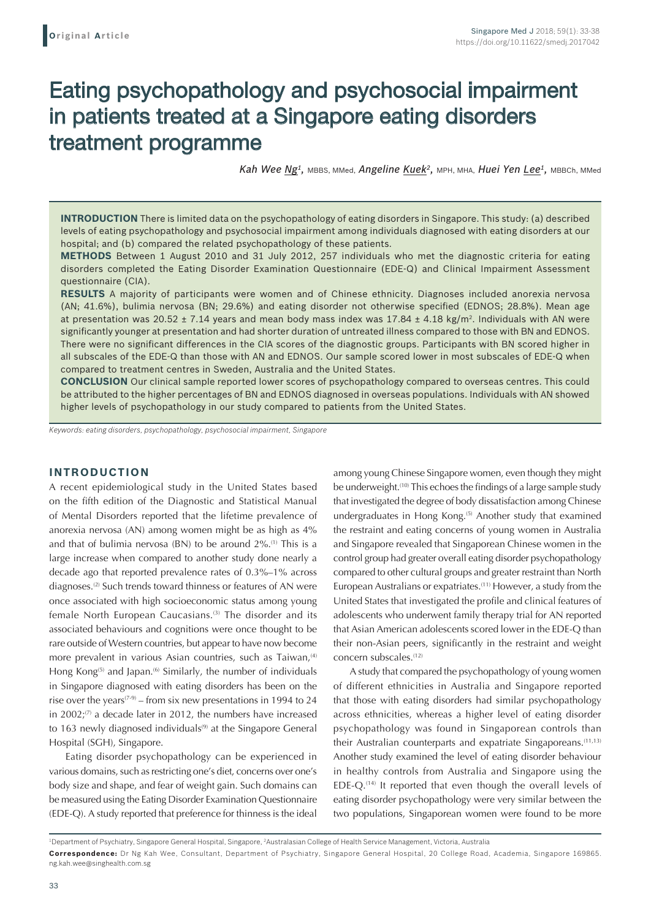# Eating psychopathology and psychosocial impairment in patients treated at a Singapore eating disorders treatment programme

*Kah Wee Ng1,* MBBS, MMed, *Angeline Kuek2,* MPH, MHA, *Huei Yen Lee1,* MBBCh, MMed

**INTRODUCTION** There is limited data on the psychopathology of eating disorders in Singapore. This study: (a) described levels of eating psychopathology and psychosocial impairment among individuals diagnosed with eating disorders at our hospital; and (b) compared the related psychopathology of these patients.

**METHODS** Between 1 August 2010 and 31 July 2012, 257 individuals who met the diagnostic criteria for eating disorders completed the Eating Disorder Examination Questionnaire (EDE-Q) and Clinical Impairment Assessment questionnaire (CIA).

**RESULTS** A majority of participants were women and of Chinese ethnicity. Diagnoses included anorexia nervosa (AN; 41.6%), bulimia nervosa (BN; 29.6%) and eating disorder not otherwise specified (EDNOS; 28.8%). Mean age at presentation was 20.52 ± 7.14 years and mean body mass index was  $17.84 \pm 4.18$  kg/m<sup>2</sup>. Individuals with AN were significantly younger at presentation and had shorter duration of untreated illness compared to those with BN and EDNOS. There were no significant differences in the CIA scores of the diagnostic groups. Participants with BN scored higher in all subscales of the EDE-Q than those with AN and EDNOS. Our sample scored lower in most subscales of EDE-Q when compared to treatment centres in Sweden, Australia and the United States.

**CONCLUSION** Our clinical sample reported lower scores of psychopathology compared to overseas centres. This could be attributed to the higher percentages of BN and EDNOS diagnosed in overseas populations. Individuals with AN showed higher levels of psychopathology in our study compared to patients from the United States.

*Keywords: eating disorders, psychopathology, psychosocial impairment, Singapore*

## **INTRODUCTION**

A recent epidemiological study in the United States based on the fifth edition of the Diagnostic and Statistical Manual of Mental Disorders reported that the lifetime prevalence of anorexia nervosa (AN) among women might be as high as 4% and that of bulimia nervosa (BN) to be around 2%.<sup>(1)</sup> This is a large increase when compared to another study done nearly a decade ago that reported prevalence rates of 0.3%–1% across diagnoses.(2) Such trends toward thinness or features of AN were once associated with high socioeconomic status among young female North European Caucasians.<sup>(3)</sup> The disorder and its associated behaviours and cognitions were once thought to be rare outside of Western countries, but appear to have now become more prevalent in various Asian countries, such as Taiwan,<sup>(4)</sup> Hong Kong<sup>(5)</sup> and Japan.<sup>(6)</sup> Similarly, the number of individuals in Singapore diagnosed with eating disorders has been on the rise over the years<sup> $(7-9)$ </sup> – from six new presentations in 1994 to 24 in 2002; $(7)$  a decade later in 2012, the numbers have increased to 163 newly diagnosed individuals $(9)$  at the Singapore General Hospital (SGH), Singapore.

Eating disorder psychopathology can be experienced in various domains, such as restricting one's diet, concerns over one's body size and shape, and fear of weight gain. Such domains can be measured using the Eating Disorder Examination Questionnaire (EDE-Q). A study reported that preference for thinness is the ideal among young Chinese Singapore women, even though they might be underweight.<sup>(10)</sup> This echoes the findings of a large sample study that investigated the degree of body dissatisfaction among Chinese undergraduates in Hong Kong.<sup>(5)</sup> Another study that examined the restraint and eating concerns of young women in Australia and Singapore revealed that Singaporean Chinese women in the control group had greater overall eating disorder psychopathology compared to other cultural groups and greater restraint than North European Australians or expatriates.(11) However, a study from the United States that investigated the profile and clinical features of adolescents who underwent family therapy trial for AN reported that Asian American adolescents scored lower in the EDE-Q than their non-Asian peers, significantly in the restraint and weight concern subscales.<sup>(12)</sup>

A study that compared the psychopathology of young women of different ethnicities in Australia and Singapore reported that those with eating disorders had similar psychopathology across ethnicities, whereas a higher level of eating disorder psychopathology was found in Singaporean controls than their Australian counterparts and expatriate Singaporeans.<sup>(11,13)</sup> Another study examined the level of eating disorder behaviour in healthy controls from Australia and Singapore using the EDE-Q.<sup>(14)</sup> It reported that even though the overall levels of eating disorder psychopathology were very similar between the two populations, Singaporean women were found to be more

<sup>1</sup> Department of Psychiatry, Singapore General Hospital, Singapore, 2 Australasian College of Health Service Management, Victoria, Australia **Correspondence:** Dr Ng Kah Wee, Consultant, Department of Psychiatry, Singapore General Hospital, 20 College Road, Academia, Singapore 169865. ng.kah.wee@singhealth.com.sg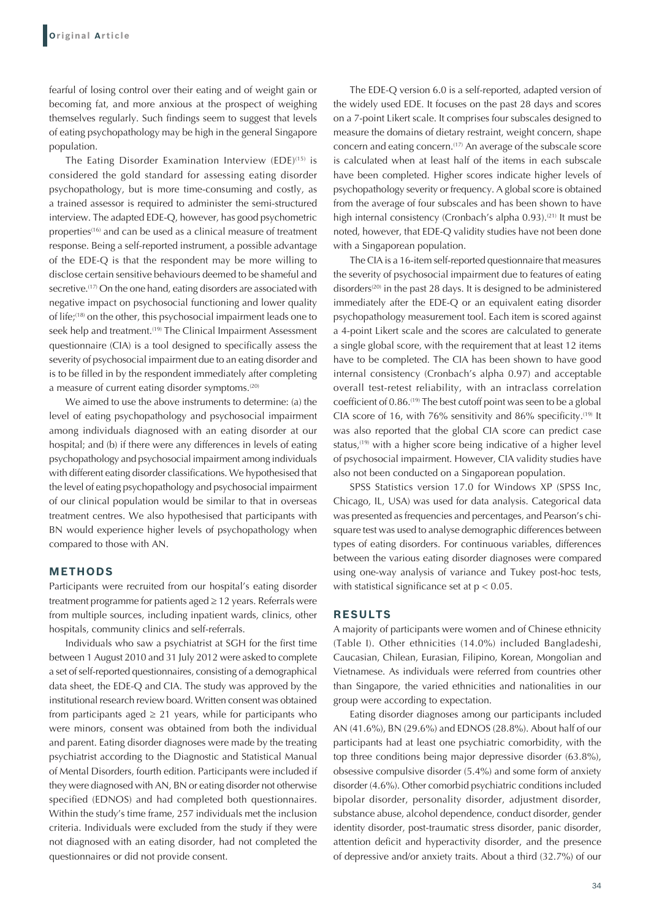fearful of losing control over their eating and of weight gain or becoming fat, and more anxious at the prospect of weighing themselves regularly. Such findings seem to suggest that levels of eating psychopathology may be high in the general Singapore population.

The Eating Disorder Examination Interview (EDE)<sup>(15)</sup> is considered the gold standard for assessing eating disorder psychopathology, but is more time-consuming and costly, as a trained assessor is required to administer the semi-structured interview. The adapted EDE-Q, however, has good psychometric properties<sup>(16)</sup> and can be used as a clinical measure of treatment response. Being a self-reported instrument, a possible advantage of the EDE-Q is that the respondent may be more willing to disclose certain sensitive behaviours deemed to be shameful and secretive.<sup>(17)</sup> On the one hand, eating disorders are associated with negative impact on psychosocial functioning and lower quality of life;(18) on the other, this psychosocial impairment leads one to seek help and treatment.<sup>(19)</sup> The Clinical Impairment Assessment questionnaire (CIA) is a tool designed to specifically assess the severity of psychosocial impairment due to an eating disorder and is to be filled in by the respondent immediately after completing a measure of current eating disorder symptoms.<sup>(20)</sup>

We aimed to use the above instruments to determine: (a) the level of eating psychopathology and psychosocial impairment among individuals diagnosed with an eating disorder at our hospital; and (b) if there were any differences in levels of eating psychopathology and psychosocial impairment among individuals with different eating disorder classifications. We hypothesised that the level of eating psychopathology and psychosocial impairment of our clinical population would be similar to that in overseas treatment centres. We also hypothesised that participants with BN would experience higher levels of psychopathology when compared to those with AN.

## **METHODS**

Participants were recruited from our hospital's eating disorder treatment programme for patients aged ≥ 12 years. Referrals were from multiple sources, including inpatient wards, clinics, other hospitals, community clinics and self-referrals.

Individuals who saw a psychiatrist at SGH for the first time between 1 August 2010 and 31 July 2012 were asked to complete a set of self-reported questionnaires, consisting of a demographical data sheet, the EDE-Q and CIA. The study was approved by the institutional research review board. Written consent was obtained from participants aged  $\geq$  21 years, while for participants who were minors, consent was obtained from both the individual and parent. Eating disorder diagnoses were made by the treating psychiatrist according to the Diagnostic and Statistical Manual of Mental Disorders, fourth edition. Participants were included if they were diagnosed with AN, BN or eating disorder not otherwise specified (EDNOS) and had completed both questionnaires. Within the study's time frame, 257 individuals met the inclusion criteria. Individuals were excluded from the study if they were not diagnosed with an eating disorder, had not completed the questionnaires or did not provide consent.

The EDE-Q version 6.0 is a self-reported, adapted version of the widely used EDE. It focuses on the past 28 days and scores on a 7-point Likert scale. It comprises four subscales designed to measure the domains of dietary restraint, weight concern, shape concern and eating concern.(17) An average of the subscale score is calculated when at least half of the items in each subscale have been completed. Higher scores indicate higher levels of psychopathology severity or frequency. A global score is obtained from the average of four subscales and has been shown to have high internal consistency (Cronbach's alpha 0.93).<sup>(21)</sup> It must be noted, however, that EDE-Q validity studies have not been done with a Singaporean population.

The CIA is a 16-item self-reported questionnaire that measures the severity of psychosocial impairment due to features of eating disorders<sup>(20)</sup> in the past 28 days. It is designed to be administered immediately after the EDE-Q or an equivalent eating disorder psychopathology measurement tool. Each item is scored against a 4-point Likert scale and the scores are calculated to generate a single global score, with the requirement that at least 12 items have to be completed. The CIA has been shown to have good internal consistency (Cronbach's alpha 0.97) and acceptable overall test-retest reliability, with an intraclass correlation coefficient of 0.86.<sup>(19)</sup> The best cutoff point was seen to be a global CIA score of 16, with 76% sensitivity and 86% specificity.<sup>(19)</sup> It was also reported that the global CIA score can predict case status, $(19)$  with a higher score being indicative of a higher level of psychosocial impairment. However, CIA validity studies have also not been conducted on a Singaporean population.

SPSS Statistics version 17.0 for Windows XP (SPSS Inc, Chicago, IL, USA) was used for data analysis. Categorical data was presented as frequencies and percentages, and Pearson's chisquare test was used to analyse demographic differences between types of eating disorders. For continuous variables, differences between the various eating disorder diagnoses were compared using one-way analysis of variance and Tukey post-hoc tests, with statistical significance set at  $p < 0.05$ .

## **RESULTS**

A majority of participants were women and of Chinese ethnicity (Table I). Other ethnicities (14.0%) included Bangladeshi, Caucasian, Chilean, Eurasian, Filipino, Korean, Mongolian and Vietnamese. As individuals were referred from countries other than Singapore, the varied ethnicities and nationalities in our group were according to expectation.

Eating disorder diagnoses among our participants included AN (41.6%), BN (29.6%) and EDNOS (28.8%). About half of our participants had at least one psychiatric comorbidity, with the top three conditions being major depressive disorder (63.8%), obsessive compulsive disorder (5.4%) and some form of anxiety disorder (4.6%). Other comorbid psychiatric conditions included bipolar disorder, personality disorder, adjustment disorder, substance abuse, alcohol dependence, conduct disorder, gender identity disorder, post-traumatic stress disorder, panic disorder, attention deficit and hyperactivity disorder, and the presence of depressive and/or anxiety traits. About a third (32.7%) of our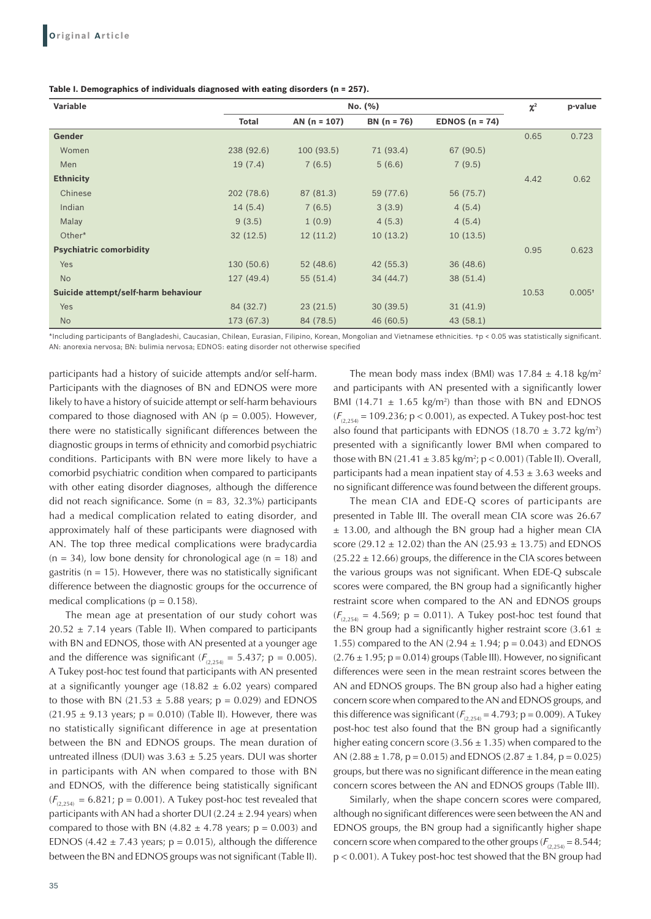| Table I. Demographics of individuals diagnosed with eating disorders (n = 257). |  |  |  |  |  |  |
|---------------------------------------------------------------------------------|--|--|--|--|--|--|
|---------------------------------------------------------------------------------|--|--|--|--|--|--|

| Variable                            | No. (%)      |                |               |                  | $\chi^2$ | p-value  |
|-------------------------------------|--------------|----------------|---------------|------------------|----------|----------|
|                                     | <b>Total</b> | AN $(n = 107)$ | $BN (n = 76)$ | EDNOS $(n = 74)$ |          |          |
| <b>Gender</b>                       |              |                |               |                  | 0.65     | 0.723    |
| Women                               | 238 (92.6)   | 100(93.5)      | 71 (93.4)     | 67 (90.5)        |          |          |
| Men                                 | 19(7.4)      | 7(6.5)         | 5(6.6)        | 7(9.5)           |          |          |
| <b>Ethnicity</b>                    |              |                |               |                  | 4.42     | 0.62     |
| Chinese                             | 202 (78.6)   | 87 (81.3)      | 59 (77.6)     | 56 (75.7)        |          |          |
| Indian                              | 14(5.4)      | 7(6.5)         | 3(3.9)        | 4(5.4)           |          |          |
| Malay                               | 9(3.5)       | 1(0.9)         | 4(5.3)        | 4(5.4)           |          |          |
| Other*                              | 32(12.5)     | 12(11.2)       | 10(13.2)      | 10(13.5)         |          |          |
| <b>Psychiatric comorbidity</b>      |              |                |               |                  | 0.95     | 0.623    |
| Yes                                 | 130(50.6)    | 52(48.6)       | 42(55.3)      | 36(48.6)         |          |          |
| <b>No</b>                           | 127(49.4)    | 55(51.4)       | 34(44.7)      | 38 (51.4)        |          |          |
| Suicide attempt/self-harm behaviour |              |                |               |                  | 10.53    | $0.005*$ |
| Yes                                 | 84 (32.7)    | 23(21.5)       | 30(39.5)      | 31(41.9)         |          |          |
| <b>No</b>                           | 173 (67.3)   | 84 (78.5)      | 46 (60.5)     | 43(58.1)         |          |          |

\*Including participants of Bangladeshi, Caucasian, Chilean, Eurasian, Filipino, Korean, Mongolian and Vietnamese ethnicities. †p < 0.05 was statistically significant. AN: anorexia nervosa; BN: bulimia nervosa; EDNOS: eating disorder not otherwise specified

participants had a history of suicide attempts and/or self-harm. Participants with the diagnoses of BN and EDNOS were more likely to have a history of suicide attempt or self-harm behaviours compared to those diagnosed with AN ( $p = 0.005$ ). However, there were no statistically significant differences between the diagnostic groups in terms of ethnicity and comorbid psychiatric conditions. Participants with BN were more likely to have a comorbid psychiatric condition when compared to participants with other eating disorder diagnoses, although the difference did not reach significance. Some  $(n = 83, 32.3%)$  participants had a medical complication related to eating disorder, and approximately half of these participants were diagnosed with AN. The top three medical complications were bradycardia  $(n = 34)$ , low bone density for chronological age  $(n = 18)$  and gastritis ( $n = 15$ ). However, there was no statistically significant difference between the diagnostic groups for the occurrence of medical complications ( $p = 0.158$ ).

The mean age at presentation of our study cohort was  $20.52 \pm 7.14$  years (Table II). When compared to participants with BN and EDNOS, those with AN presented at a younger age and the difference was significant ( $F_{(2,254)} = 5.437$ ; p = 0.005). A Tukey post-hoc test found that participants with AN presented at a significantly younger age (18.82  $\pm$  6.02 years) compared to those with BN (21.53  $\pm$  5.88 years; p = 0.029) and EDNOS  $(21.95 \pm 9.13 \text{ years}; p = 0.010)$  (Table II). However, there was no statistically significant difference in age at presentation between the BN and EDNOS groups. The mean duration of untreated illness (DUI) was  $3.63 \pm 5.25$  years. DUI was shorter in participants with AN when compared to those with BN and EDNOS, with the difference being statistically significant  $(F_{(2,254)} = 6.821; p = 0.001)$ . A Tukey post-hoc test revealed that participants with AN had a shorter DUI (2.24  $\pm$  2.94 years) when compared to those with BN  $(4.82 \pm 4.78 \text{ years})$ ; p = 0.003) and EDNOS (4.42  $\pm$  7.43 years; p = 0.015), although the difference between the BN and EDNOS groups was not significant (Table II).

35

The mean body mass index (BMI) was  $17.84 \pm 4.18$  kg/m<sup>2</sup> and participants with AN presented with a significantly lower BMI (14.71  $\pm$  1.65 kg/m<sup>2</sup>) than those with BN and EDNOS  $(F_{(2,254)} = 109.236; p < 0.001)$ , as expected. A Tukey post-hoc test also found that participants with EDNOS (18.70  $\pm$  3.72 kg/m<sup>2</sup>) presented with a significantly lower BMI when compared to those with BN (21.41  $\pm$  3.85 kg/m<sup>2</sup>; p < 0.001) (Table II). Overall, participants had a mean inpatient stay of  $4.53 \pm 3.63$  weeks and no significant difference was found between the different groups.

The mean CIA and EDE-Q scores of participants are presented in Table III. The overall mean CIA score was 26.67 ± 13.00, and although the BN group had a higher mean CIA score (29.12  $\pm$  12.02) than the AN (25.93  $\pm$  13.75) and EDNOS  $(25.22 \pm 12.66)$  groups, the difference in the CIA scores between the various groups was not significant. When EDE-Q subscale scores were compared, the BN group had a significantly higher restraint score when compared to the AN and EDNOS groups  $(F<sub>Q 254)</sub> = 4.569; p = 0.011$ . A Tukey post-hoc test found that the BN group had a significantly higher restraint score  $(3.61 \pm$ 1.55) compared to the AN  $(2.94 \pm 1.94; p = 0.043)$  and EDNOS  $(2.76 \pm 1.95; p = 0.014)$  groups (Table III). However, no significant differences were seen in the mean restraint scores between the AN and EDNOS groups. The BN group also had a higher eating concern score when compared to the AN and EDNOS groups, and this difference was significant  $(F_{(2,254)} = 4.793; p = 0.009)$ . A Tukey post-hoc test also found that the BN group had a significantly higher eating concern score  $(3.56 \pm 1.35)$  when compared to the AN  $(2.88 \pm 1.78, p = 0.015)$  and EDNOS  $(2.87 \pm 1.84, p = 0.025)$ groups, but there was no significant difference in the mean eating concern scores between the AN and EDNOS groups (Table III).

Similarly, when the shape concern scores were compared, although no significant differences were seen between the AN and EDNOS groups, the BN group had a significantly higher shape concern score when compared to the other groups  $(F_{(2,254)} = 8.544;$ p < 0.001). A Tukey post-hoc test showed that the BN group had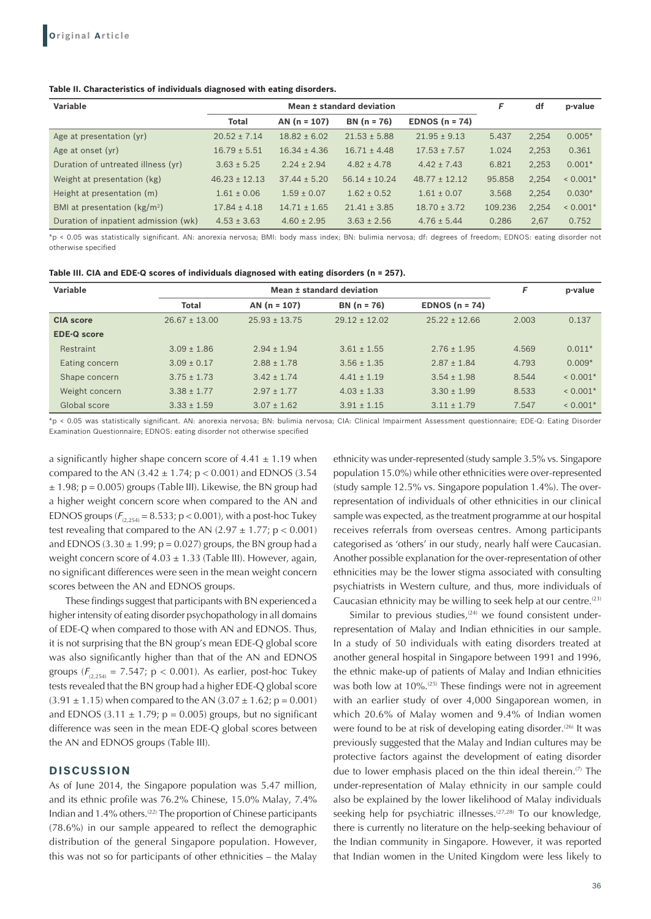#### **Table II. Characteristics of individuals diagnosed with eating disorders.**

| Variable                             | Mean ± standard deviation |                  |                   |                   | F       | df    | p-value    |
|--------------------------------------|---------------------------|------------------|-------------------|-------------------|---------|-------|------------|
|                                      | <b>Total</b>              | $AN(n = 107)$    | $BN (n = 76)$     | EDNOS $(n = 74)$  |         |       |            |
| Age at presentation (yr)             | $20.52 \pm 7.14$          | $18.82 \pm 6.02$ | $21.53 \pm 5.88$  | $21.95 \pm 9.13$  | 5.437   | 2,254 | $0.005*$   |
| Age at onset (yr)                    | $16.79 \pm 5.51$          | $16.34 \pm 4.36$ | $16.71 \pm 4.48$  | $17.53 \pm 7.57$  | 1.024   | 2.253 | 0.361      |
| Duration of untreated illness (yr)   | $3.63 \pm 5.25$           | $2.24 \pm 2.94$  | $4.82 \pm 4.78$   | $4.42 \pm 7.43$   | 6.821   | 2,253 | $0.001*$   |
| Weight at presentation (kg)          | $46.23 \pm 12.13$         | $37.44 \pm 5.20$ | $56.14 \pm 10.24$ | $48.77 \pm 12.12$ | 95.858  | 2,254 | $< 0.001*$ |
| Height at presentation (m)           | $1.61 \pm 0.06$           | $1.59 \pm 0.07$  | $1.62 \pm 0.52$   | $1.61 \pm 0.07$   | 3.568   | 2,254 | $0.030*$   |
| BMI at presentation $(kg/m2)$        | $17.84 \pm 4.18$          | $14.71 \pm 1.65$ | $21.41 \pm 3.85$  | $18.70 \pm 3.72$  | 109.236 | 2.254 | $< 0.001*$ |
| Duration of inpatient admission (wk) | $4.53 \pm 3.63$           | $4.60 \pm 2.95$  | $3.63 \pm 2.56$   | $4.76 \pm 5.44$   | 0.286   | 2.67  | 0.752      |

\*p < 0.05 was statistically significant. AN: anorexia nervosa; BMI: body mass index; BN: bulimia nervosa; df: degrees of freedom; EDNOS: eating disorder not otherwise specified

| Table III. CIA and EDE-Q scores of individuals diagnosed with eating disorders (n = 257). |  |  |  |
|-------------------------------------------------------------------------------------------|--|--|--|
|-------------------------------------------------------------------------------------------|--|--|--|

| Variable           |                   | Mean ± standard deviation |                   |                   |       |            |
|--------------------|-------------------|---------------------------|-------------------|-------------------|-------|------------|
|                    | <b>Total</b>      | AN $(n = 107)$            | $BN (n = 76)$     | EDNOS $(n = 74)$  |       |            |
| <b>CIA</b> score   | $26.67 \pm 13.00$ | $25.93 \pm 13.75$         | $29.12 \pm 12.02$ | $25.22 \pm 12.66$ | 2.003 | 0.137      |
| <b>EDE-Q score</b> |                   |                           |                   |                   |       |            |
| Restraint          | $3.09 \pm 1.86$   | $2.94 \pm 1.94$           | $3.61 \pm 1.55$   | $2.76 \pm 1.95$   | 4.569 | $0.011*$   |
| Eating concern     | $3.09 \pm 0.17$   | $2.88 \pm 1.78$           | $3.56 \pm 1.35$   | $2.87 \pm 1.84$   | 4.793 | $0.009*$   |
| Shape concern      | $3.75 \pm 1.73$   | $3.42 \pm 1.74$           | $4.41 \pm 1.19$   | $3.54 \pm 1.98$   | 8.544 | $< 0.001*$ |
| Weight concern     | $3.38 \pm 1.77$   | $2.97 \pm 1.77$           | $4.03 \pm 1.33$   | $3.30 \pm 1.99$   | 8.533 | $< 0.001*$ |
| Global score       | $3.33 \pm 1.59$   | $3.07 \pm 1.62$           | $3.91 \pm 1.15$   | $3.11 \pm 1.79$   | 7.547 | $< 0.001*$ |

\*p < 0.05 was statistically significant. AN: anorexia nervosa; BN: bulimia nervosa; CIA: Clinical Impairment Assessment questionnaire; EDE-Q: Eating Disorder Examination Questionnaire; EDNOS: eating disorder not otherwise specified

a significantly higher shape concern score of  $4.41 \pm 1.19$  when compared to the AN  $(3.42 \pm 1.74; p < 0.001)$  and EDNOS  $(3.54)$  $\pm$  1.98; p = 0.005) groups (Table III). Likewise, the BN group had a higher weight concern score when compared to the AN and EDNOS groups  $(F_{(2,254)} = 8.533; p < 0.001)$ , with a post-hoc Tukey test revealing that compared to the AN  $(2.97 \pm 1.77; p < 0.001)$ and EDNOS (3.30  $\pm$  1.99; p = 0.027) groups, the BN group had a weight concern score of  $4.03 \pm 1.33$  (Table III). However, again, no significant differences were seen in the mean weight concern scores between the AN and EDNOS groups.

These findings suggest that participants with BN experienced a higher intensity of eating disorder psychopathology in all domains of EDE-Q when compared to those with AN and EDNOS. Thus, it is not surprising that the BN group's mean EDE-Q global score was also significantly higher than that of the AN and EDNOS groups ( $F_{(2,254)} = 7.547$ ; p < 0.001). As earlier, post-hoc Tukey tests revealed that the BN group had a higher EDE-Q global score  $(3.91 \pm 1.15)$  when compared to the AN  $(3.07 \pm 1.62; p = 0.001)$ and EDNOS (3.11  $\pm$  1.79; p = 0.005) groups, but no significant difference was seen in the mean EDE-Q global scores between the AN and EDNOS groups (Table III).

# **DISCUSSION**

As of June 2014, the Singapore population was 5.47 million, and its ethnic profile was 76.2% Chinese, 15.0% Malay, 7.4% Indian and  $1.4\%$  others.<sup>(22)</sup> The proportion of Chinese participants (78.6%) in our sample appeared to reflect the demographic distribution of the general Singapore population. However, this was not so for participants of other ethnicities – the Malay

ethnicity was under-represented (study sample 3.5% vs. Singapore population 15.0%) while other ethnicities were over-represented (study sample 12.5% vs. Singapore population 1.4%). The overrepresentation of individuals of other ethnicities in our clinical sample was expected, as the treatment programme at our hospital receives referrals from overseas centres. Among participants categorised as 'others' in our study, nearly half were Caucasian. Another possible explanation for the over-representation of other ethnicities may be the lower stigma associated with consulting psychiatrists in Western culture, and thus, more individuals of Caucasian ethnicity may be willing to seek help at our centre.<sup>(23)</sup>

Similar to previous studies, $(24)$  we found consistent underrepresentation of Malay and Indian ethnicities in our sample. In a study of 50 individuals with eating disorders treated at another general hospital in Singapore between 1991 and 1996, the ethnic make-up of patients of Malay and Indian ethnicities was both low at 10%.<sup>(25)</sup> These findings were not in agreement with an earlier study of over 4,000 Singaporean women, in which 20.6% of Malay women and 9.4% of Indian women were found to be at risk of developing eating disorder.<sup>(26)</sup> It was previously suggested that the Malay and Indian cultures may be protective factors against the development of eating disorder due to lower emphasis placed on the thin ideal therein.<sup> $(7)$ </sup> The under-representation of Malay ethnicity in our sample could also be explained by the lower likelihood of Malay individuals seeking help for psychiatric illnesses.<sup>(27,28)</sup> To our knowledge, there is currently no literature on the help-seeking behaviour of the Indian community in Singapore. However, it was reported that Indian women in the United Kingdom were less likely to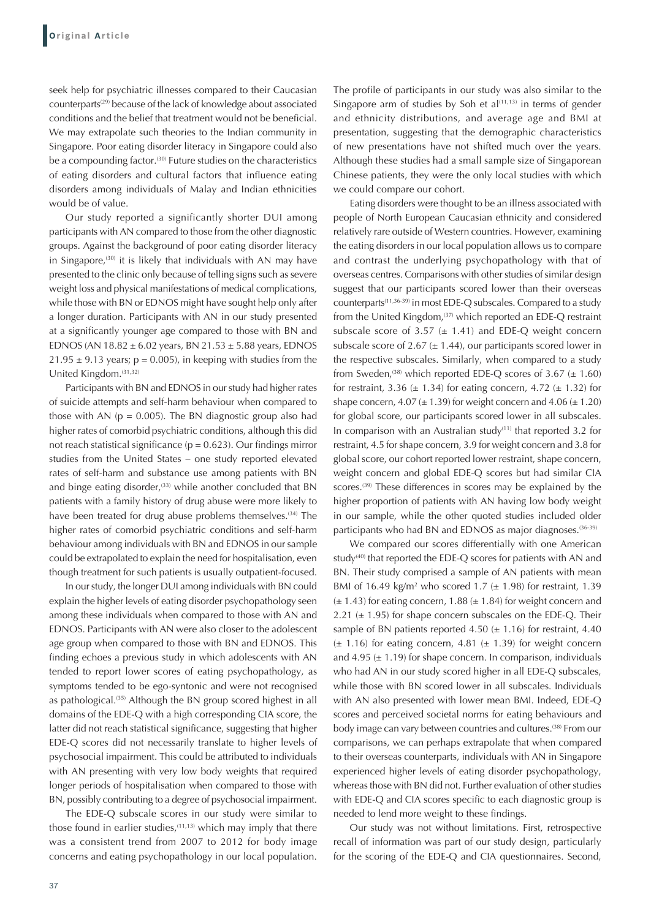seek help for psychiatric illnesses compared to their Caucasian counterparts<sup>(29)</sup> because of the lack of knowledge about associated conditions and the belief that treatment would not be beneficial. We may extrapolate such theories to the Indian community in Singapore. Poor eating disorder literacy in Singapore could also be a compounding factor.<sup>(30)</sup> Future studies on the characteristics of eating disorders and cultural factors that influence eating disorders among individuals of Malay and Indian ethnicities would be of value.

Our study reported a significantly shorter DUI among participants with AN compared to those from the other diagnostic groups. Against the background of poor eating disorder literacy in Singapore, $(30)$  it is likely that individuals with AN may have presented to the clinic only because of telling signs such as severe weight loss and physical manifestations of medical complications, while those with BN or EDNOS might have sought help only after a longer duration. Participants with AN in our study presented at a significantly younger age compared to those with BN and EDNOS (AN  $18.82 \pm 6.02$  years, BN  $21.53 \pm 5.88$  years, EDNOS  $21.95 \pm 9.13$  years; p = 0.005), in keeping with studies from the United Kingdom.(31,32)

Participants with BN and EDNOS in our study had higher rates of suicide attempts and self-harm behaviour when compared to those with AN ( $p = 0.005$ ). The BN diagnostic group also had higher rates of comorbid psychiatric conditions, although this did not reach statistical significance ( $p = 0.623$ ). Our findings mirror studies from the United States – one study reported elevated rates of self-harm and substance use among patients with BN and binge eating disorder, $(33)$  while another concluded that BN patients with a family history of drug abuse were more likely to have been treated for drug abuse problems themselves.<sup>(34)</sup> The higher rates of comorbid psychiatric conditions and self-harm behaviour among individuals with BN and EDNOS in our sample could be extrapolated to explain the need for hospitalisation, even though treatment for such patients is usually outpatient-focused.

In our study, the longer DUI among individuals with BN could explain the higher levels of eating disorder psychopathology seen among these individuals when compared to those with AN and EDNOS. Participants with AN were also closer to the adolescent age group when compared to those with BN and EDNOS. This finding echoes a previous study in which adolescents with AN tended to report lower scores of eating psychopathology, as symptoms tended to be ego-syntonic and were not recognised as pathological.<sup>(35)</sup> Although the BN group scored highest in all domains of the EDE-Q with a high corresponding CIA score, the latter did not reach statistical significance, suggesting that higher EDE-Q scores did not necessarily translate to higher levels of psychosocial impairment. This could be attributed to individuals with AN presenting with very low body weights that required longer periods of hospitalisation when compared to those with BN, possibly contributing to a degree of psychosocial impairment.

The EDE-Q subscale scores in our study were similar to those found in earlier studies,<sup>(11,13)</sup> which may imply that there was a consistent trend from 2007 to 2012 for body image concerns and eating psychopathology in our local population.

The profile of participants in our study was also similar to the Singapore arm of studies by Soh et  $al^{(11,13)}$  in terms of gender and ethnicity distributions, and average age and BMI at presentation, suggesting that the demographic characteristics of new presentations have not shifted much over the years. Although these studies had a small sample size of Singaporean Chinese patients, they were the only local studies with which we could compare our cohort.

Eating disorders were thought to be an illness associated with people of North European Caucasian ethnicity and considered relatively rare outside of Western countries. However, examining the eating disorders in our local population allows us to compare and contrast the underlying psychopathology with that of overseas centres. Comparisons with other studies of similar design suggest that our participants scored lower than their overseas counterparts(11,36-39) in most EDE-Q subscales. Compared to a study from the United Kingdom,<sup>(37)</sup> which reported an EDE-Q restraint subscale score of 3.57  $(\pm 1.41)$  and EDE-Q weight concern subscale score of 2.67 ( $\pm$  1.44), our participants scored lower in the respective subscales. Similarly, when compared to a study from Sweden,<sup>(38)</sup> which reported EDE-Q scores of 3.67 ( $\pm$  1.60) for restraint, 3.36  $(\pm 1.34)$  for eating concern, 4.72  $(\pm 1.32)$  for shape concern,  $4.07 (\pm 1.39)$  for weight concern and  $4.06 (\pm 1.20)$ for global score, our participants scored lower in all subscales. In comparison with an Australian study $(11)$  that reported 3.2 for restraint, 4.5 for shape concern, 3.9 for weight concern and 3.8 for global score, our cohort reported lower restraint, shape concern, weight concern and global EDE-Q scores but had similar CIA scores.<sup>(39)</sup> These differences in scores may be explained by the higher proportion of patients with AN having low body weight in our sample, while the other quoted studies included older participants who had BN and EDNOS as major diagnoses.<sup>(36-39)</sup>

We compared our scores differentially with one American study<sup>(40)</sup> that reported the EDE-Q scores for patients with AN and BN. Their study comprised a sample of AN patients with mean BMI of 16.49 kg/m<sup>2</sup> who scored 1.7 ( $\pm$  1.98) for restraint, 1.39  $(\pm 1.43)$  for eating concern, 1.88  $(\pm 1.84)$  for weight concern and 2.21  $(\pm 1.95)$  for shape concern subscales on the EDE-Q. Their sample of BN patients reported 4.50  $(\pm 1.16)$  for restraint, 4.40  $(\pm 1.16)$  for eating concern, 4.81  $(\pm 1.39)$  for weight concern and 4.95 ( $\pm$  1.19) for shape concern. In comparison, individuals who had AN in our study scored higher in all EDE-Q subscales, while those with BN scored lower in all subscales. Individuals with AN also presented with lower mean BMI. Indeed, EDE-Q scores and perceived societal norms for eating behaviours and body image can vary between countries and cultures.<sup>(38)</sup> From our comparisons, we can perhaps extrapolate that when compared to their overseas counterparts, individuals with AN in Singapore experienced higher levels of eating disorder psychopathology, whereas those with BN did not. Further evaluation of other studies with EDE-Q and CIA scores specific to each diagnostic group is needed to lend more weight to these findings.

Our study was not without limitations. First, retrospective recall of information was part of our study design, particularly for the scoring of the EDE-Q and CIA questionnaires. Second,